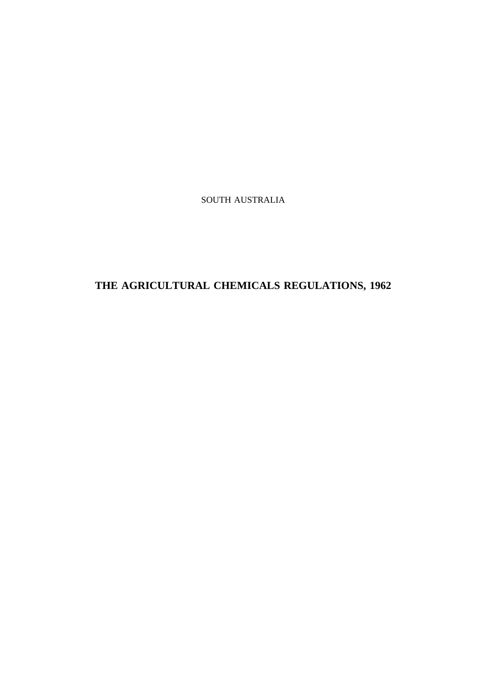SOUTH AUSTRALIA

# **THE AGRICULTURAL CHEMICALS REGULATIONS, 1962**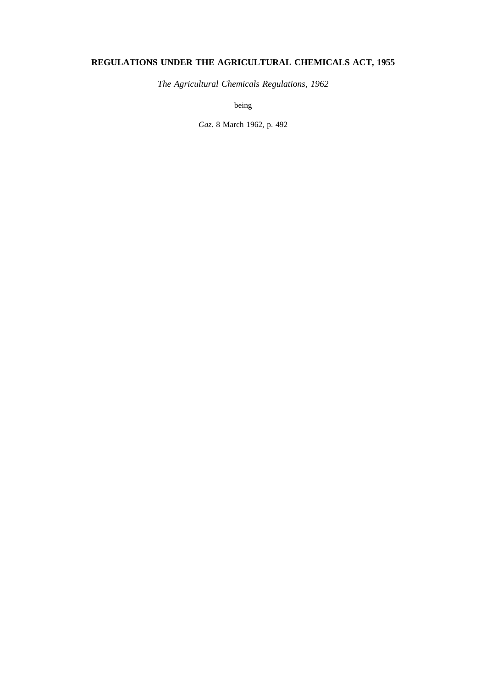## **REGULATIONS UNDER THE AGRICULTURAL CHEMICALS ACT, 1955**

*The Agricultural Chemicals Regulations, 1962*

being

*Gaz*. 8 March 1962, p. 492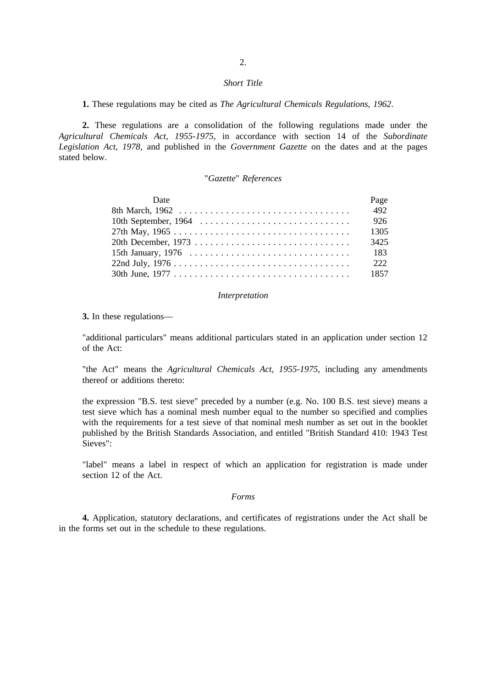#### *Short Title*

**1.** These regulations may be cited as *The Agricultural Chemicals Regulations, 1962*.

**2.** These regulations are a consolidation of the following regulations made under the *Agricultural Chemicals Act, 1955-1975*, in accordance with section 14 of the *Subordinate Legislation Act, 1978*, and published in the *Government Gazette* on the dates and at the pages stated below.

## "*Gazette*" *References*

| Date                                                                                       | Page |
|--------------------------------------------------------------------------------------------|------|
|                                                                                            | 492  |
|                                                                                            | 926  |
|                                                                                            | 1305 |
|                                                                                            | 3425 |
| 15th January, 1976 $\ldots \ldots \ldots \ldots \ldots \ldots \ldots \ldots \ldots \ldots$ | 183  |
|                                                                                            | 222  |
|                                                                                            | 1857 |

#### *Interpretation*

### **3.** In these regulations—

"additional particulars" means additional particulars stated in an application under section 12 of the Act:

"the Act" means the *Agricultural Chemicals Act, 1955-1975*, including any amendments thereof or additions thereto:

the expression "B.S. test sieve" preceded by a number (e.g. No. 100 B.S. test sieve) means a test sieve which has a nominal mesh number equal to the number so specified and complies with the requirements for a test sieve of that nominal mesh number as set out in the booklet published by the British Standards Association, and entitled "British Standard 410: 1943 Test Sieves":

"label" means a label in respect of which an application for registration is made under section 12 of the Act.

## *Forms*

**4.** Application, statutory declarations, and certificates of registrations under the Act shall be in the forms set out in the schedule to these regulations.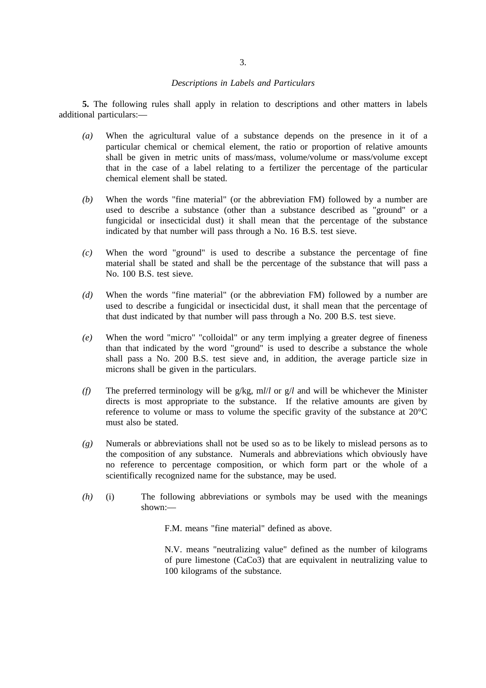### *Descriptions in Labels and Particulars*

**5.** The following rules shall apply in relation to descriptions and other matters in labels additional particulars:—

- *(a)* When the agricultural value of a substance depends on the presence in it of a particular chemical or chemical element, the ratio or proportion of relative amounts shall be given in metric units of mass/mass, volume/volume or mass/volume except that in the case of a label relating to a fertilizer the percentage of the particular chemical element shall be stated.
- *(b)* When the words "fine material" (or the abbreviation FM) followed by a number are used to describe a substance (other than a substance described as "ground" or a fungicidal or insecticidal dust) it shall mean that the percentage of the substance indicated by that number will pass through a No. 16 B.S. test sieve.
- *(c)* When the word "ground" is used to describe a substance the percentage of fine material shall be stated and shall be the percentage of the substance that will pass a No. 100 B.S. test sieve.
- *(d)* When the words "fine material" (or the abbreviation FM) followed by a number are used to describe a fungicidal or insecticidal dust, it shall mean that the percentage of that dust indicated by that number will pass through a No. 200 B.S. test sieve.
- *(e)* When the word "micro" "colloidal" or any term implying a greater degree of fineness than that indicated by the word "ground" is used to describe a substance the whole shall pass a No. 200 B.S. test sieve and, in addition, the average particle size in microns shall be given in the particulars.
- *(f)* The preferred terminology will be g/kg, m*l*/*l* or g/*l* and will be whichever the Minister directs is most appropriate to the substance. If the relative amounts are given by reference to volume or mass to volume the specific gravity of the substance at 20°C must also be stated.
- *(g)* Numerals or abbreviations shall not be used so as to be likely to mislead persons as to the composition of any substance. Numerals and abbreviations which obviously have no reference to percentage composition, or which form part or the whole of a scientifically recognized name for the substance, may be used.
- *(h)* (i) The following abbreviations or symbols may be used with the meanings shown:—

F.M. means "fine material" defined as above.

N.V. means "neutralizing value" defined as the number of kilograms of pure limestone (CaCo3) that are equivalent in neutralizing value to 100 kilograms of the substance.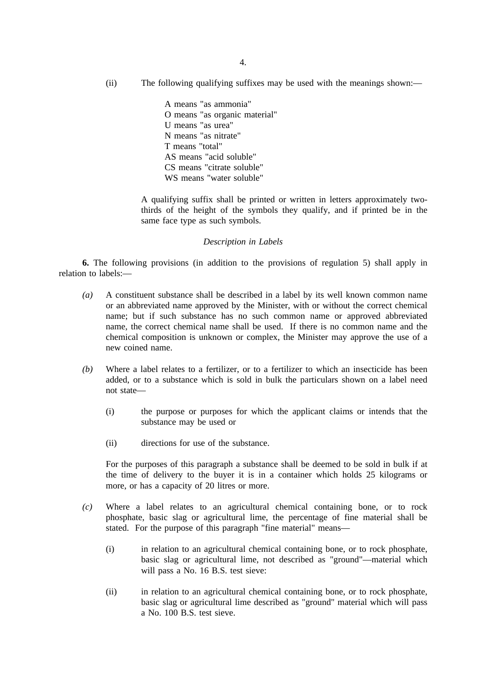(ii) The following qualifying suffixes may be used with the meanings shown:—

A means "as ammonia" O means "as organic material" U means "as urea" N means "as nitrate" T means "total" AS means "acid soluble" CS means "citrate soluble" WS means "water soluble"

A qualifying suffix shall be printed or written in letters approximately twothirds of the height of the symbols they qualify, and if printed be in the same face type as such symbols.

## *Description in Labels*

**6.** The following provisions (in addition to the provisions of regulation 5) shall apply in relation to labels:—

- *(a)* A constituent substance shall be described in a label by its well known common name or an abbreviated name approved by the Minister, with or without the correct chemical name; but if such substance has no such common name or approved abbreviated name, the correct chemical name shall be used. If there is no common name and the chemical composition is unknown or complex, the Minister may approve the use of a new coined name.
- *(b)* Where a label relates to a fertilizer, or to a fertilizer to which an insecticide has been added, or to a substance which is sold in bulk the particulars shown on a label need not state—
	- (i) the purpose or purposes for which the applicant claims or intends that the substance may be used or
	- (ii) directions for use of the substance.

For the purposes of this paragraph a substance shall be deemed to be sold in bulk if at the time of delivery to the buyer it is in a container which holds 25 kilograms or more, or has a capacity of 20 litres or more.

- *(c)* Where a label relates to an agricultural chemical containing bone, or to rock phosphate, basic slag or agricultural lime, the percentage of fine material shall be stated. For the purpose of this paragraph "fine material" means—
	- (i) in relation to an agricultural chemical containing bone, or to rock phosphate, basic slag or agricultural lime, not described as "ground"—material which will pass a No. 16 B.S. test sieve:
	- (ii) in relation to an agricultural chemical containing bone, or to rock phosphate, basic slag or agricultural lime described as "ground" material which will pass a No. 100 B.S. test sieve.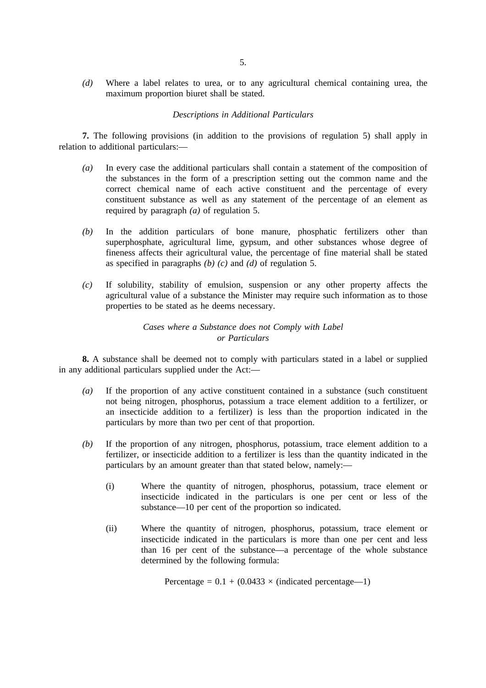*(d)* Where a label relates to urea, or to any agricultural chemical containing urea, the maximum proportion biuret shall be stated.

## *Descriptions in Additional Particulars*

**7.** The following provisions (in addition to the provisions of regulation 5) shall apply in relation to additional particulars:—

- *(a)* In every case the additional particulars shall contain a statement of the composition of the substances in the form of a prescription setting out the common name and the correct chemical name of each active constituent and the percentage of every constituent substance as well as any statement of the percentage of an element as required by paragraph *(a)* of regulation 5.
- *(b)* In the addition particulars of bone manure, phosphatic fertilizers other than superphosphate, agricultural lime, gypsum, and other substances whose degree of fineness affects their agricultural value, the percentage of fine material shall be stated as specified in paragraphs *(b) (c)* and *(d)* of regulation 5.
- *(c)* If solubility, stability of emulsion, suspension or any other property affects the agricultural value of a substance the Minister may require such information as to those properties to be stated as he deems necessary.

## *Cases where a Substance does not Comply with Label or Particulars*

**8.** A substance shall be deemed not to comply with particulars stated in a label or supplied in any additional particulars supplied under the Act:—

- *(a)* If the proportion of any active constituent contained in a substance (such constituent not being nitrogen, phosphorus, potassium a trace element addition to a fertilizer, or an insecticide addition to a fertilizer) is less than the proportion indicated in the particulars by more than two per cent of that proportion.
- *(b)* If the proportion of any nitrogen, phosphorus, potassium, trace element addition to a fertilizer, or insecticide addition to a fertilizer is less than the quantity indicated in the particulars by an amount greater than that stated below, namely:—
	- (i) Where the quantity of nitrogen, phosphorus, potassium, trace element or insecticide indicated in the particulars is one per cent or less of the substance—10 per cent of the proportion so indicated.
	- (ii) Where the quantity of nitrogen, phosphorus, potassium, trace element or insecticide indicated in the particulars is more than one per cent and less than 16 per cent of the substance—a percentage of the whole substance determined by the following formula:

Percentage =  $0.1 + (0.0433 \times (indicated percentage-1))$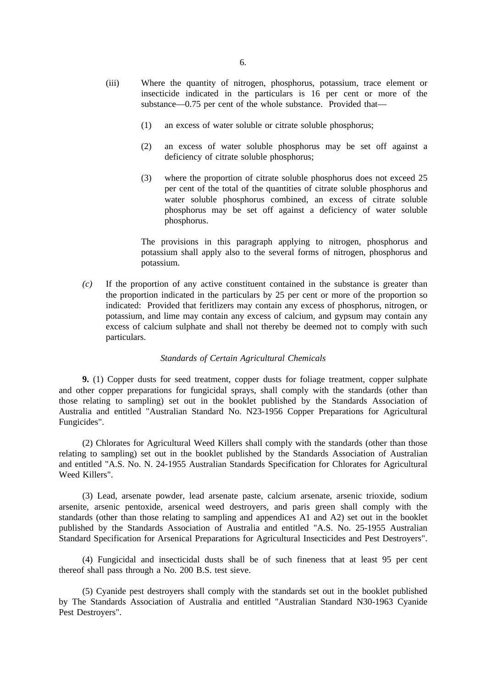- (iii) Where the quantity of nitrogen, phosphorus, potassium, trace element or insecticide indicated in the particulars is 16 per cent or more of the substance—0.75 per cent of the whole substance. Provided that—
	- (1) an excess of water soluble or citrate soluble phosphorus;
	- (2) an excess of water soluble phosphorus may be set off against a deficiency of citrate soluble phosphorus;
	- (3) where the proportion of citrate soluble phosphorus does not exceed 25 per cent of the total of the quantities of citrate soluble phosphorus and water soluble phosphorus combined, an excess of citrate soluble phosphorus may be set off against a deficiency of water soluble phosphorus.

The provisions in this paragraph applying to nitrogen, phosphorus and potassium shall apply also to the several forms of nitrogen, phosphorus and potassium.

*(c)* If the proportion of any active constituent contained in the substance is greater than the proportion indicated in the particulars by 25 per cent or more of the proportion so indicated: Provided that feritlizers may contain any excess of phosphorus, nitrogen, or potassium, and lime may contain any excess of calcium, and gypsum may contain any excess of calcium sulphate and shall not thereby be deemed not to comply with such particulars.

### *Standards of Certain Agricultural Chemicals*

**9.** (1) Copper dusts for seed treatment, copper dusts for foliage treatment, copper sulphate and other copper preparations for fungicidal sprays, shall comply with the standards (other than those relating to sampling) set out in the booklet published by the Standards Association of Australia and entitled "Australian Standard No. N23-1956 Copper Preparations for Agricultural Fungicides".

(2) Chlorates for Agricultural Weed Killers shall comply with the standards (other than those relating to sampling) set out in the booklet published by the Standards Association of Australian and entitled "A.S. No. N. 24-1955 Australian Standards Specification for Chlorates for Agricultural Weed Killers".

(3) Lead, arsenate powder, lead arsenate paste, calcium arsenate, arsenic trioxide, sodium arsenite, arsenic pentoxide, arsenical weed destroyers, and paris green shall comply with the standards (other than those relating to sampling and appendices A1 and A2) set out in the booklet published by the Standards Association of Australia and entitled "A.S. No. 25-1955 Australian Standard Specification for Arsenical Preparations for Agricultural Insecticides and Pest Destroyers".

(4) Fungicidal and insecticidal dusts shall be of such fineness that at least 95 per cent thereof shall pass through a No. 200 B.S. test sieve.

(5) Cyanide pest destroyers shall comply with the standards set out in the booklet published by The Standards Association of Australia and entitled "Australian Standard N30-1963 Cyanide Pest Destroyers".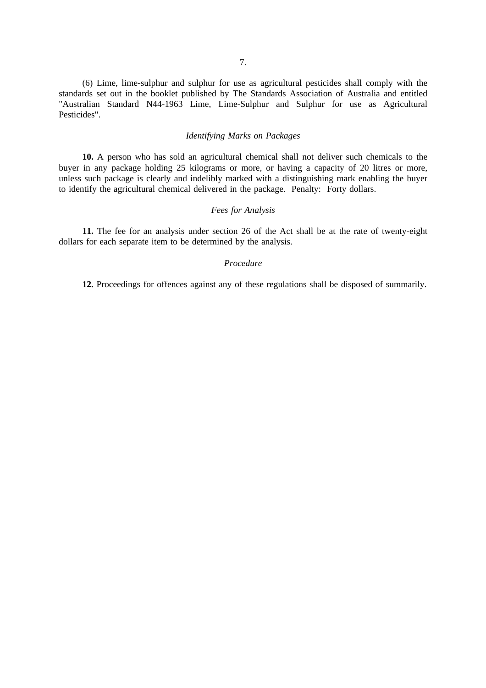(6) Lime, lime-sulphur and sulphur for use as agricultural pesticides shall comply with the standards set out in the booklet published by The Standards Association of Australia and entitled "Australian Standard N44-1963 Lime, Lime-Sulphur and Sulphur for use as Agricultural Pesticides".

## *Identifying Marks on Packages*

**10.** A person who has sold an agricultural chemical shall not deliver such chemicals to the buyer in any package holding 25 kilograms or more, or having a capacity of 20 litres or more, unless such package is clearly and indelibly marked with a distinguishing mark enabling the buyer to identify the agricultural chemical delivered in the package. Penalty: Forty dollars.

## *Fees for Analysis*

**11.** The fee for an analysis under section 26 of the Act shall be at the rate of twenty-eight dollars for each separate item to be determined by the analysis.

## *Procedure*

**12.** Proceedings for offences against any of these regulations shall be disposed of summarily.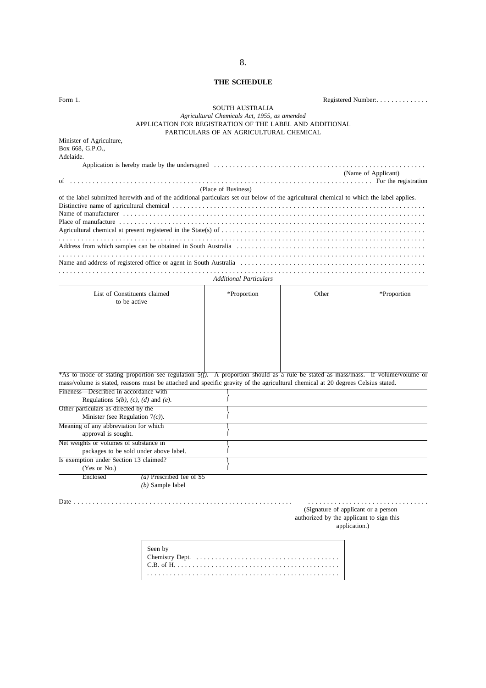## **THE SCHEDULE**

| Form 1.                                                                                                                                  | SOUTH AUSTRALIA                                                                                                                                     |                                                                                                  | Registered Number:  |
|------------------------------------------------------------------------------------------------------------------------------------------|-----------------------------------------------------------------------------------------------------------------------------------------------------|--------------------------------------------------------------------------------------------------|---------------------|
|                                                                                                                                          | Agricultural Chemicals Act, 1955, as amended<br>APPLICATION FOR REGISTRATION OF THE LABEL AND ADDITIONAL<br>PARTICULARS OF AN AGRICULTURAL CHEMICAL |                                                                                                  |                     |
| Minister of Agriculture,<br>Box 668, G.P.O.,<br>Adelaide.                                                                                |                                                                                                                                                     |                                                                                                  |                     |
|                                                                                                                                          |                                                                                                                                                     |                                                                                                  | (Name of Applicant) |
| of the label submitted herewith and of the additional particulars set out below of the agricultural chemical to which the label applies. | (Place of Business)                                                                                                                                 |                                                                                                  |                     |
|                                                                                                                                          |                                                                                                                                                     |                                                                                                  |                     |
|                                                                                                                                          |                                                                                                                                                     |                                                                                                  |                     |
|                                                                                                                                          |                                                                                                                                                     |                                                                                                  |                     |
|                                                                                                                                          | <b>Additional Particulars</b>                                                                                                                       |                                                                                                  |                     |
| List of Constituents claimed<br>to be active                                                                                             | *Proportion                                                                                                                                         | Other                                                                                            | *Proportion         |
|                                                                                                                                          |                                                                                                                                                     |                                                                                                  |                     |
|                                                                                                                                          |                                                                                                                                                     |                                                                                                  |                     |
|                                                                                                                                          |                                                                                                                                                     |                                                                                                  |                     |
|                                                                                                                                          |                                                                                                                                                     |                                                                                                  |                     |
|                                                                                                                                          |                                                                                                                                                     |                                                                                                  |                     |
| *As to mode of stating proportion see regulation 5(f). A proportion should as a rule be stated as mass/mass. If volume/volume or         |                                                                                                                                                     |                                                                                                  |                     |
| mass/volume is stated, reasons must be attached and specific gravity of the agricultural chemical at 20 degrees Celsius stated.          |                                                                                                                                                     |                                                                                                  |                     |
| Fineness—Described in accordance with<br>Regulations $5(b)$ , $(c)$ , $(d)$ and $(e)$ .                                                  |                                                                                                                                                     |                                                                                                  |                     |
| Other particulars as directed by the                                                                                                     |                                                                                                                                                     |                                                                                                  |                     |
| Minister (see Regulation $7(c)$ ).                                                                                                       |                                                                                                                                                     |                                                                                                  |                     |
| Meaning of any abbreviation for which                                                                                                    |                                                                                                                                                     |                                                                                                  |                     |
| approval is sought.<br>Net weights or volumes of substance in                                                                            |                                                                                                                                                     |                                                                                                  |                     |
| packages to be sold under above label.                                                                                                   |                                                                                                                                                     |                                                                                                  |                     |
| Is exemption under Section 13 claimed?<br>(Yes or No.)                                                                                   |                                                                                                                                                     |                                                                                                  |                     |
| Enclosed<br>$(a)$ Prescribed fee of \$5<br>$(b)$ Sample label                                                                            |                                                                                                                                                     |                                                                                                  |                     |
|                                                                                                                                          |                                                                                                                                                     | (Signature of applicant or a person<br>authorized by the applicant to sign this<br>application.) |                     |
| Seen by                                                                                                                                  |                                                                                                                                                     |                                                                                                  |                     |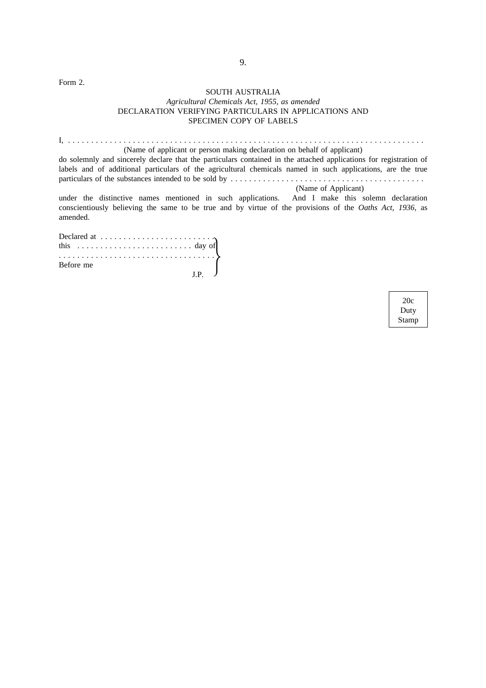Form 2.

## SOUTH AUSTRALIA *Agricultural Chemicals Act, 1955, as amended* DECLARATION VERIFYING PARTICULARS IN APPLICATIONS AND SPECIMEN COPY OF LABELS

I, . . . . . . . . . . . . . . . . . . . . . . . . . . . . . . . . . . . . . . . . . . . . . . . . . . . . . . . . . . . . . . . . . . . . . . . . . . . . . (Name of applicant or person making declaration on behalf of applicant)

do solemnly and sincerely declare that the particulars contained in the attached applications for registration of labels and of additional particulars of the agricultural chemicals named in such applications, are the true particulars of the substances intended to be sold by ..........................................

(Name of Applicant)

under the distinctive names mentioned in such applications. And I make this solemn declaration conscientiously believing the same to be true and by virtue of the provisions of the *Oaths Act, 1936*, as amended.

| $Before me$ $J.P.$ |  |  |  |  |  |  |  |  |  |  |  |  |  |  |  |
|--------------------|--|--|--|--|--|--|--|--|--|--|--|--|--|--|--|
|                    |  |  |  |  |  |  |  |  |  |  |  |  |  |  |  |

20c Duty Stamp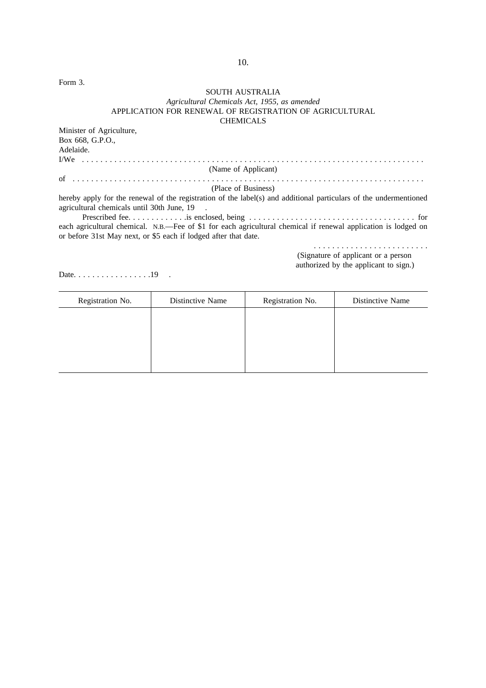Form 3.

## SOUTH AUSTRALIA *Agricultural Chemicals Act, 1955, as amended* APPLICATION FOR RENEWAL OF REGISTRATION OF AGRICULTURAL CHEMICALS

Minister of Agriculture, Box 668, G.P.O., Adelaide. I/We .......................................................................... (Name of Applicant) of . . . . . . . . . . . . . . . . . . . . . . . . . . . . . . . . . . . . . . . . . . . . . . . . . . . . . . . . . . . . . . . . . . . . . . . . . . . . (Place of Business)

hereby apply for the renewal of the registration of the label(s) and additional particulars of the undermentioned agricultural chemicals until 30th June, 19 .

Prescribed fee. . . . . . . . . . . . .is enclosed, being . . . . . . . . . . . . . . . . . . . . . . . . . . . . . . . . . . . . for each agricultural chemical. N.B.—Fee of \$1 for each agricultural chemical if renewal application is lodged on or before 31st May next, or \$5 each if lodged after that date.

.........................

(Signature of applicant or a person

authorized by the applicant to sign.)

Date. . . . . . . . . . . . . . . . . 19 .

| Registration No. | Distinctive Name | Registration No. | Distinctive Name |
|------------------|------------------|------------------|------------------|
|                  |                  |                  |                  |
|                  |                  |                  |                  |
|                  |                  |                  |                  |
|                  |                  |                  |                  |
|                  |                  |                  |                  |